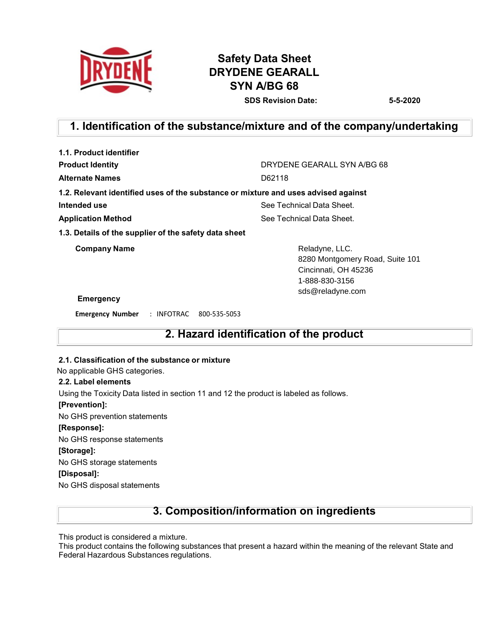

# **Safety Data Sheet DRYDENE GEARALL SYN A/BG 68 SDS Revision Date: 5-5-2020**

# **1. Identification of the substance/mixture and of the company/undertaking**

| DRYDENE GEARALL SYN A/BG 68                                                                 |  |  |
|---------------------------------------------------------------------------------------------|--|--|
| D62118                                                                                      |  |  |
| 1.2. Relevant identified uses of the substance or mixture and uses advised against          |  |  |
| See Technical Data Sheet.                                                                   |  |  |
| See Technical Data Sheet.                                                                   |  |  |
|                                                                                             |  |  |
| Reladyne, LLC.<br>8280 Montgomery Road, Suite 101<br>Cincinnati, OH 45236<br>1-888-830-3156 |  |  |
| sds@reladyne.com                                                                            |  |  |
|                                                                                             |  |  |
|                                                                                             |  |  |

### **2. Hazard identification of the product**

#### **2.1. Classification of the substance or mixture**

No applicable GHS categories.

#### **2.2. Label elements**

Using the Toxicity Data listed in section 11 and 12 the product is labeled as follows.

#### **[Prevention]:**

No GHS prevention statements

#### **[Response]:**

No GHS response statements

#### **[Storage]:**

No GHS storage statements

#### **[Disposal]:**

No GHS disposal statements

### **3. Composition/information on ingredients**

This product is considered a mixture.

This product contains the following substances that present a hazard within the meaning of the relevant State and Federal Hazardous Substances regulations.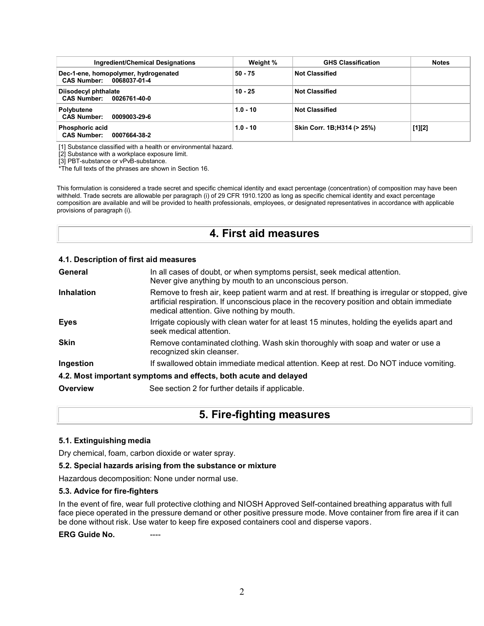| Ingredient/Chemical Designations                                 | Weight %   | <b>GHS Classification</b>   | <b>Notes</b> |
|------------------------------------------------------------------|------------|-----------------------------|--------------|
| Dec-1-ene, homopolymer, hydrogenated<br>CAS Number: 0068037-01-4 | $50 - 75$  | <b>Not Classified</b>       |              |
| Diisodecyl phthalate<br>CAS Number: 0026761-40-0                 | $10 - 25$  | <b>Not Classified</b>       |              |
| Polybutene<br><b>CAS Number:</b><br>0009003-29-6                 | $1.0 - 10$ | <b>Not Classified</b>       |              |
| <b>Phosphoric acid</b><br>CAS Number: 0007664-38-2               | $1.0 - 10$ | Skin Corr. 1B; H314 (> 25%) | $[1][2]$     |

[1] Substance classified with a health or environmental hazard.

[2] Substance with a workplace exposure limit.

[3] PBT-substance or vPvB-substance.

\*The full texts of the phrases are shown in Section 16.

This formulation is considered a trade secret and specific chemical identity and exact percentage (concentration) of composition may have been withheld. Trade secrets are allowable per paragraph (i) of 29 CFR 1910.1200 as long as specific chemical identity and exact percentage composition are available and will be provided to health professionals, employees, or designated representatives in accordance with applicable provisions of paragraph (i).

### **4. First aid measures**

#### **4.1. Description of first aid measures**

| General           | In all cases of doubt, or when symptoms persist, seek medical attention.<br>Never give anything by mouth to an unconscious person.                                                                                                        |
|-------------------|-------------------------------------------------------------------------------------------------------------------------------------------------------------------------------------------------------------------------------------------|
| <b>Inhalation</b> | Remove to fresh air, keep patient warm and at rest. If breathing is irregular or stopped, give<br>artificial respiration. If unconscious place in the recovery position and obtain immediate<br>medical attention. Give nothing by mouth. |
| <b>Eyes</b>       | Irrigate copiously with clean water for at least 15 minutes, holding the eyelids apart and<br>seek medical attention.                                                                                                                     |
| <b>Skin</b>       | Remove contaminated clothing. Wash skin thoroughly with soap and water or use a<br>recognized skin cleanser.                                                                                                                              |
| Ingestion         | If swallowed obtain immediate medical attention. Keep at rest. Do NOT induce vomiting.                                                                                                                                                    |
|                   | 4.2. Most important symptoms and effects, both acute and delayed                                                                                                                                                                          |
| Overview          | See section 2 for further details if applicable.                                                                                                                                                                                          |

### **5. Fire-fighting measures**

#### **5.1. Extinguishing media**

Dry chemical, foam, carbon dioxide or water spray.

#### **5.2. Special hazards arising from the substance or mixture**

Hazardous decomposition: None under normal use.

#### **5.3. Advice for fire-fighters**

In the event of fire, wear full protective clothing and NIOSH Approved Self-contained breathing apparatus with full face piece operated in the pressure demand or other positive pressure mode. Move container from fire area if it can be done without risk. Use water to keep fire exposed containers cool and disperse vapors.

**ERG** Guide No.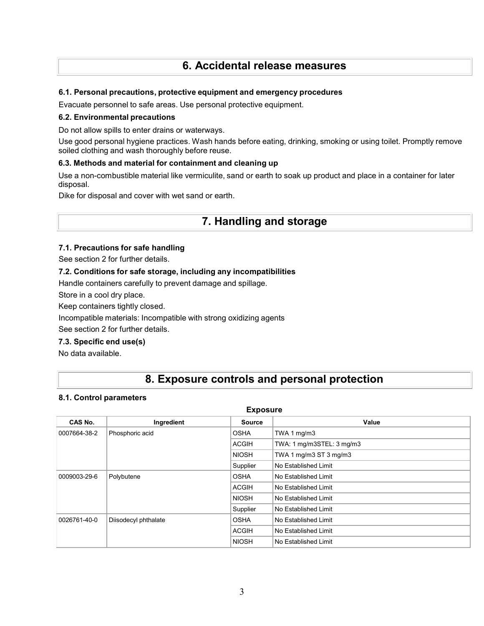# **6. Accidental release measures**

#### **6.1. Personal precautions, protective equipment and emergency procedures**

Evacuate personnel to safe areas. Use personal protective equipment.

#### **6.2. Environmental precautions**

Do not allow spills to enter drains or waterways.

Use good personal hygiene practices. Wash hands before eating, drinking, smoking or using toilet. Promptly remove soiled clothing and wash thoroughly before reuse.

#### **6.3. Methods and material for containment and cleaning up**

Use a non-combustible material like vermiculite, sand or earth to soak up product and place in a container for later disposal.

Dike for disposal and cover with wet sand or earth.

### **7. Handling and storage**

#### **7.1. Precautions for safe handling**

See section 2 for further details.

#### **7.2. Conditions for safe storage, including any incompatibilities**

Handle containers carefully to prevent damage and spillage.

Store in a cool dry place.

Keep containers tightly closed.

Incompatible materials: Incompatible with strong oxidizing agents

See section 2 for further details.

#### **7.3. Specific end use(s)**

No data available.

# **8. Exposure controls and personal protection**

#### **8.1. Control parameters**

| <b>Exposure</b>            |              |                           |  |  |  |
|----------------------------|--------------|---------------------------|--|--|--|
| Ingredient                 | Source       | Value                     |  |  |  |
| Phosphoric acid            | <b>OSHA</b>  | TWA 1 mg/m3               |  |  |  |
|                            | <b>ACGIH</b> | TWA: 1 mg/m3STEL: 3 mg/m3 |  |  |  |
|                            | <b>NIOSH</b> | TWA 1 mg/m3 ST 3 mg/m3    |  |  |  |
|                            | Supplier     | No Established Limit      |  |  |  |
| 0009003-29-6<br>Polybutene |              | No Established Limit      |  |  |  |
|                            | <b>ACGIH</b> | No Established Limit      |  |  |  |
|                            | <b>NIOSH</b> | No Established Limit      |  |  |  |
|                            | Supplier     | No Established Limit      |  |  |  |
| Diisodecyl phthalate       | <b>OSHA</b>  | No Established Limit      |  |  |  |
|                            | <b>ACGIH</b> | No Established Limit      |  |  |  |
|                            | <b>NIOSH</b> | No Established Limit      |  |  |  |
|                            |              | <b>OSHA</b>               |  |  |  |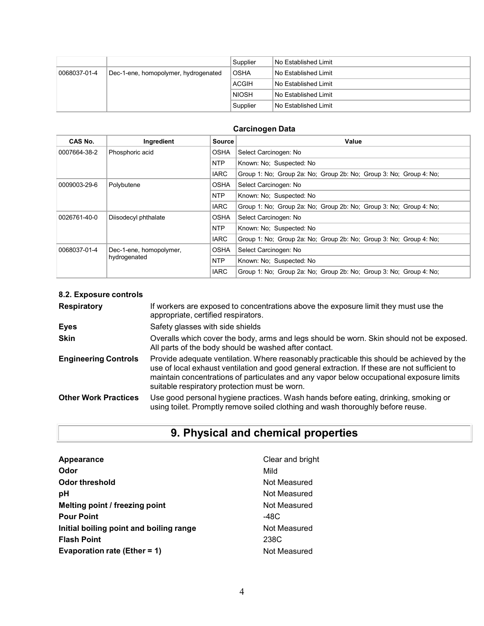|              |                                      | Supplier               | l No Established Limit |
|--------------|--------------------------------------|------------------------|------------------------|
| 0068037-01-4 | Dec-1-ene, homopolymer, hydrogenated | <b>OSHA</b>            | No Established Limit   |
|              | ACGIH                                | l No Established Limit |                        |
|              |                                      | <b>NIOSH</b>           | No Established Limit   |
|              |                                      | Supplier               | l No Established Limit |

### **Carcinogen Data**

| CAS No.      | Ingredient              | <b>Source</b>                          | Value                                                              |  |  |  |
|--------------|-------------------------|----------------------------------------|--------------------------------------------------------------------|--|--|--|
| 0007664-38-2 | Phosphoric acid         | <b>OSHA</b>                            | Select Carcinogen: No                                              |  |  |  |
|              |                         | <b>NTP</b>                             | Known: No: Suspected: No                                           |  |  |  |
|              |                         | <b>IARC</b>                            | Group 1: No; Group 2a: No; Group 2b: No; Group 3: No; Group 4: No; |  |  |  |
| 0009003-29-6 | Polybutene              | <b>OSHA</b>                            | Select Carcinogen: No                                              |  |  |  |
|              |                         | <b>NTP</b>                             | Known: No: Suspected: No                                           |  |  |  |
|              |                         | <b>IARC</b>                            | Group 1: No; Group 2a: No; Group 2b: No; Group 3: No; Group 4: No; |  |  |  |
| 0026761-40-0 | Diisodecyl phthalate    | OSHA                                   | Select Carcinogen: No                                              |  |  |  |
|              |                         | <b>NTP</b>                             | Known: No; Suspected: No                                           |  |  |  |
|              |                         | <b>IARC</b>                            | Group 1: No; Group 2a: No; Group 2b: No; Group 3: No; Group 4: No; |  |  |  |
| 0068037-01-4 | Dec-1-ene, homopolymer, | <b>OSHA</b>                            | Select Carcinogen: No                                              |  |  |  |
|              | hydrogenated            | <b>NTP</b><br>Known: No: Suspected: No |                                                                    |  |  |  |
|              |                         | <b>IARC</b>                            | Group 1: No: Group 2a: No: Group 2b: No: Group 3: No: Group 4: No: |  |  |  |

### **8.2. Exposure controls**

| <b>Respiratory</b>          | If workers are exposed to concentrations above the exposure limit they must use the<br>appropriate, certified respirators.                                                                                                                                                                                                             |
|-----------------------------|----------------------------------------------------------------------------------------------------------------------------------------------------------------------------------------------------------------------------------------------------------------------------------------------------------------------------------------|
| <b>Eyes</b>                 | Safety glasses with side shields                                                                                                                                                                                                                                                                                                       |
| <b>Skin</b>                 | Overalls which cover the body, arms and legs should be worn. Skin should not be exposed.<br>All parts of the body should be washed after contact.                                                                                                                                                                                      |
| <b>Engineering Controls</b> | Provide adequate ventilation. Where reasonably practicable this should be achieved by the<br>use of local exhaust ventilation and good general extraction. If these are not sufficient to<br>maintain concentrations of particulates and any vapor below occupational exposure limits<br>suitable respiratory protection must be worn. |
| <b>Other Work Practices</b> | Use good personal hygiene practices. Wash hands before eating, drinking, smoking or<br>using toilet. Promptly remove soiled clothing and wash thoroughly before reuse.                                                                                                                                                                 |

# **9. Physical and chemical properties**

| Appearance                              | Clear and bright |
|-----------------------------------------|------------------|
| Odor                                    | Mild             |
| Odor threshold                          | Not Measured     |
| рH                                      | Not Measured     |
| Melting point / freezing point          | Not Measured     |
| <b>Pour Point</b>                       | -48C             |
| Initial boiling point and boiling range | Not Measured     |
| <b>Flash Point</b>                      | 238C             |
| Evaporation rate (Ether = 1)            | Not Measured     |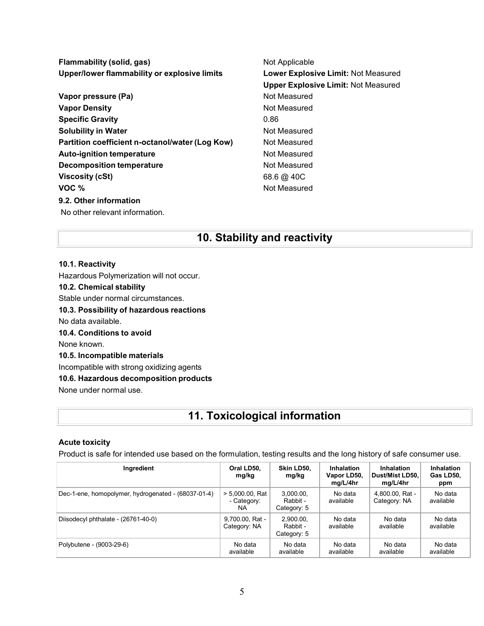**Flammability (solid, gas)** Not Applicable **Upper/lower flammability or explosive limits Lower Explosive Limit:** Not Measured **Upper Explosive Limit:** Not Measured **Vapor pressure (Pa)** Not Measured **Vapor Density Not Measured** Not Measured **Specific Gravity** 0.86 **Solubility in Water Not Measured Not Measured Partition coefficient n-octanol/water (Log Kow) Not Measured Auto-ignition temperature Not Measured Decomposition temperature** Not Measured **Viscosity (cSt)** 68.6  $\omega$  40C **VOC** % **9.2. Other information** No other relevant information.

# **10. Stability and reactivity**

#### **10.1. Reactivity**

Hazardous Polymerization will not occur.

#### **10.2. Chemical stability**

Stable under normal circumstances.

**10.3. Possibility of hazardous reactions**

No data available.

**10.4. Conditions to avoid**

None known.

#### **10.5. Incompatible materials**

Incompatible with strong oxidizing agents

**10.6. Hazardous decomposition products**

None under normal use.

### **11. Toxicological information**

#### **Acute toxicity**

Product is safe for intended use based on the formulation, testing results and the long history of safe consumer use.

| Ingredient                                          | Oral LD50,<br>mg/kg                      | Skin LD50.<br>mg/kg                  | <b>Inhalation</b><br>Vapor LD50,<br>mg/L/4hr | <b>Inhalation</b><br>Dust/Mist LD50.<br>mg/L/4hr | <b>Inhalation</b><br>Gas LD50,<br>ppm |
|-----------------------------------------------------|------------------------------------------|--------------------------------------|----------------------------------------------|--------------------------------------------------|---------------------------------------|
| Dec-1-ene, homopolymer, hydrogenated - (68037-01-4) | $> 5,000.00$ , Rat<br>- Category:<br>NA. | 3.000.00.<br>Rabbit -<br>Category: 5 | No data<br>available                         | 4,800.00, Rat -<br>Category: NA                  | No data<br>available                  |
| Diisodecyl phthalate - (26761-40-0)                 | 9,700.00, Rat -<br>Category: NA          | 2,900.00,<br>Rabbit -<br>Category: 5 | No data<br>available                         | No data<br>available                             | No data<br>available                  |
| Polybutene - (9003-29-6)                            | No data<br>available                     | No data<br>available                 | No data<br>available                         | No data<br>available                             | No data<br>available                  |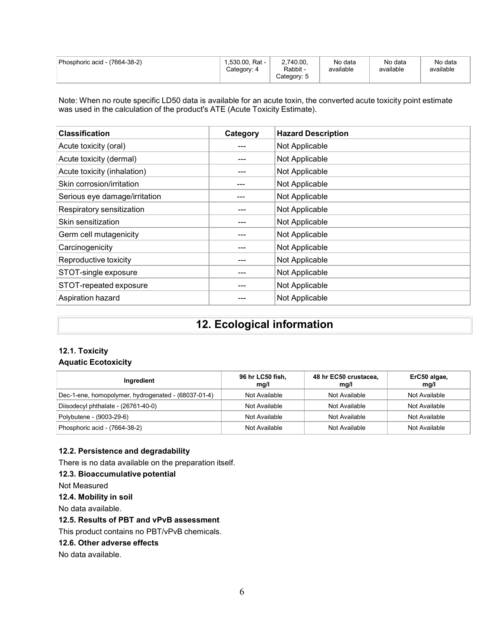| Phosphoric acid - (7664-38-2) | 1.530.00. Rat -<br>Category: 4 | 2,740.00,<br>Rabbit -<br>Category: 5 | No data<br>available | No data<br>available | No data<br>available |
|-------------------------------|--------------------------------|--------------------------------------|----------------------|----------------------|----------------------|
|-------------------------------|--------------------------------|--------------------------------------|----------------------|----------------------|----------------------|

Note: When no route specific LD50 data is available for an acute toxin, the converted acute toxicity point estimate was used in the calculation of the product's ATE (Acute Toxicity Estimate).

| <b>Classification</b>         | Category | <b>Hazard Description</b> |
|-------------------------------|----------|---------------------------|
| Acute toxicity (oral)         |          | Not Applicable            |
| Acute toxicity (dermal)       |          | Not Applicable            |
| Acute toxicity (inhalation)   |          | Not Applicable            |
| Skin corrosion/irritation     | ---      | Not Applicable            |
| Serious eye damage/irritation |          | Not Applicable            |
| Respiratory sensitization     |          | Not Applicable            |
| Skin sensitization            |          | Not Applicable            |
| Germ cell mutagenicity        |          | Not Applicable            |
| Carcinogenicity               |          | Not Applicable            |
| Reproductive toxicity         |          | Not Applicable            |
| STOT-single exposure          |          | Not Applicable            |
| STOT-repeated exposure        |          | Not Applicable            |
| Aspiration hazard             |          | Not Applicable            |

# **12. Ecological information**

# **12.1. Toxicity**

#### **Aquatic Ecotoxicity**

| Ingredient                                          | 96 hr LC50 fish,<br>mg/l | 48 hr EC50 crustacea,<br>mq/l | ErC50 algae,<br>mg/l |
|-----------------------------------------------------|--------------------------|-------------------------------|----------------------|
| Dec-1-ene, homopolymer, hydrogenated - (68037-01-4) | Not Available            | Not Available                 | Not Available        |
| Diisodecyl phthalate - (26761-40-0)                 | Not Available            | Not Available                 | Not Available        |
| Polybutene - (9003-29-6)                            | Not Available            | Not Available                 | Not Available        |
| Phosphoric acid - (7664-38-2)                       | Not Available            | Not Available                 | Not Available        |

#### **12.2. Persistence and degradability**

There is no data available on the preparation itself.

#### **12.3. Bioaccumulative potential**

Not Measured

#### **12.4. Mobility in soil**

No data available.

#### **12.5. Results of PBT and vPvB assessment**

This product contains no PBT/vPvB chemicals.

#### **12.6. Other adverse effects**

No data available.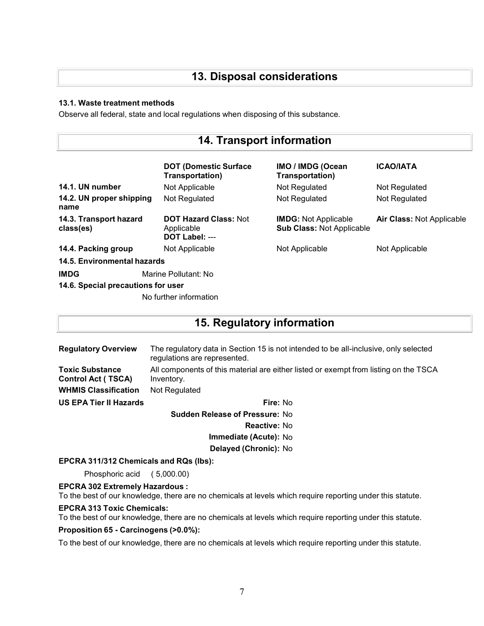# **13. Disposal considerations**

#### **13.1. Waste treatment methods**

Observe all federal, state and local regulations when disposing of this substance.

| <b>14. Transport information</b>    |                                                              |                                                                 |                           |
|-------------------------------------|--------------------------------------------------------------|-----------------------------------------------------------------|---------------------------|
|                                     | <b>DOT (Domestic Surface)</b><br>Transportation)             | <b>IMO / IMDG (Ocean</b><br>Transportation)                     | <b>ICAO/IATA</b>          |
| 14.1. UN number                     | Not Applicable                                               | Not Regulated                                                   | Not Regulated             |
| 14.2. UN proper shipping<br>name    | Not Regulated                                                | Not Regulated                                                   | Not Regulated             |
| 14.3. Transport hazard<br>class(es) | <b>DOT Hazard Class: Not</b><br>Applicable<br>DOT Label: --- | <b>IMDG:</b> Not Applicable<br><b>Sub Class: Not Applicable</b> | Air Class: Not Applicable |
| 14.4. Packing group                 | Not Applicable                                               | Not Applicable                                                  | Not Applicable            |
| 14.5. Environmental hazards         |                                                              |                                                                 |                           |
| <b>IMDG</b>                         | Marine Pollutant: No                                         |                                                                 |                           |
| 14.6. Special precautions for user  |                                                              |                                                                 |                           |
|                                     | No further information                                       |                                                                 |                           |

# **15. Regulatory information**

| <b>Regulatory Overview</b>                          | The regulatory data in Section 15 is not intended to be all-inclusive, only selected<br>regulations are represented. |  |  |
|-----------------------------------------------------|----------------------------------------------------------------------------------------------------------------------|--|--|
| <b>Toxic Substance</b><br><b>Control Act (TSCA)</b> | All components of this material are either listed or exempt from listing on the TSCA<br>Inventory.                   |  |  |
| <b>WHMIS Classification</b>                         | Not Regulated                                                                                                        |  |  |
| US EPA Tier II Hazards                              | Fire: No                                                                                                             |  |  |
| <b>Sudden Release of Pressure: No</b>               |                                                                                                                      |  |  |

**Reactive:** No

**Immediate (Acute):** No

**Delayed (Chronic):** No

#### **EPCRA 311/312 Chemicals and RQs (lbs):**

Phosphoric acid ( 5,000.00)

**EPCRA 302 Extremely Hazardous :**

To the best of our knowledge, there are no chemicals at levels which require reporting under this statute.

#### **EPCRA 313 Toxic Chemicals:**

To the best of our knowledge, there are no chemicals at levels which require reporting under this statute.

#### **Proposition 65 - Carcinogens (>0.0%):**

To the best of our knowledge, there are no chemicals at levels which require reporting under this statute.